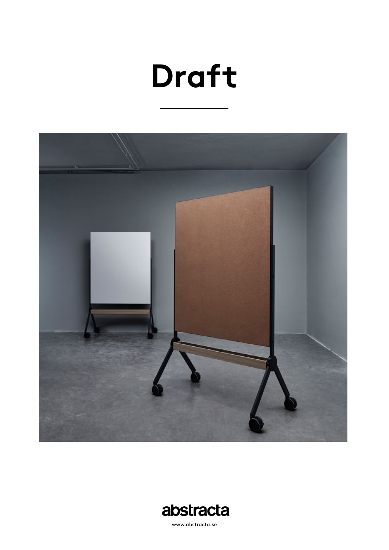## **Draft**





www.abstracta.se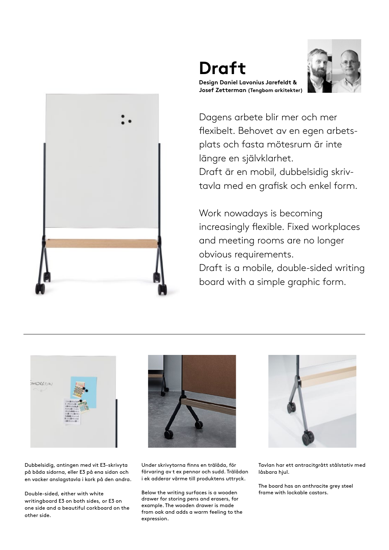





Dagens arbete blir mer och mer flexibelt. Behovet av en egen arbetsplats och fasta mötesrum är inte längre en självklarhet. Draft är en mobil, dubbelsidig skrivtavla med en grafisk och enkel form.

Work nowadays is becoming increasingly flexible. Fixed workplaces and meeting rooms are no longer obvious requirements. Draft is a mobile, double-sided writing

board with a simple graphic form.



Dubbelsidig, antingen med vit E3-skrivyta på båda sidorna, eller E3 på ena sidan och en vacker anslagstavla i kork på den andra.

Double-sided, either with white writingboard E3 on both sides, or E3 on one side and a beautiful corkboard on the other side.



Under skrivytorna finns en trälåda, för förvaring av t ex pennor och sudd. Trälådan i ek adderar värme till produktens uttryck.

Below the writing surfaces is a wooden drawer for storing pens and erasers, for example. The wooden drawer is made from oak and adds a warm feeling to the expression.



Tavlan har ett antracitgrått stålstativ med låsbara hjul.

The board has an anthracite grey steel frame with lockable castors.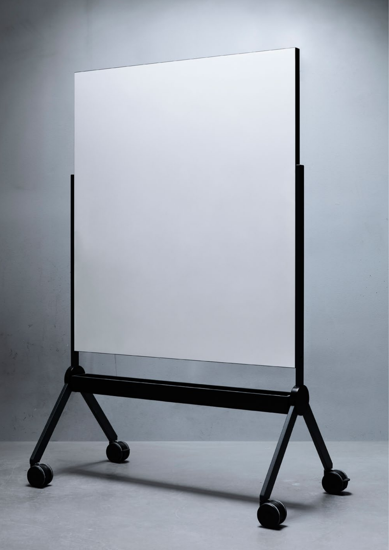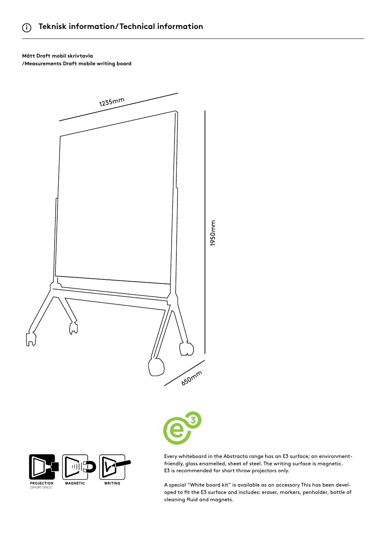**Mått Draft mobil skrivtavla /Measurements Draft mobile writing board**



**PROJECTION MAGNETIC WRITING** (SHORT ONLY)

Every whiteboard in the Abstracta range has an E3 surface; an environmentfriendly, glass enamelled, sheet of steel. The writing surface is magnetic. E3 is recommended for short throw projectors only.

A special "White board kit" is available as an accessory This has been developed to fit the E3 surface and includes: eraser, markers, penholder, bottle of cleaning fluid and magnets.